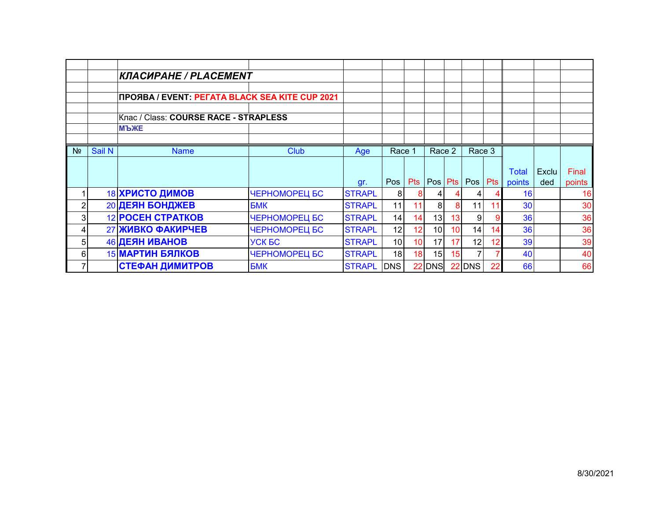|                |        | КЛАСИРАНЕ / PLACEMENT                          |               |               |                 |            |                 |    |                |     |              |       |        |
|----------------|--------|------------------------------------------------|---------------|---------------|-----------------|------------|-----------------|----|----------------|-----|--------------|-------|--------|
|                |        | ПРОЯВА / EVENT: PEГАТА BLACK SEA KITE CUP 2021 |               |               |                 |            |                 |    |                |     |              |       |        |
|                |        | Клас / Class: COURSE RACE - STRAPLESS          |               |               |                 |            |                 |    |                |     |              |       |        |
|                |        | <b>MPXE</b>                                    |               |               |                 |            |                 |    |                |     |              |       |        |
|                |        |                                                |               |               |                 |            |                 |    |                |     |              |       |        |
| N <sub>2</sub> | Sail N | <b>Name</b>                                    | <b>Club</b>   | Age           | Race 1          |            | Race 2          |    | Race 3         |     |              |       |        |
|                |        |                                                |               |               |                 |            |                 |    |                |     | <b>Total</b> | Exclu | Final  |
|                |        |                                                |               | gr.           | Pos I           | <b>Pts</b> | Pos Pts         |    | Pos            | Pts | points       | ded   | points |
| 4              |        | 18 ХРИСТО ДИМОВ                                | ЧЕРНОМОРЕЦ БС | <b>STRAPL</b> | 81              | 8          |                 |    | 4              |     | 16           |       | 16     |
| 2              |        | 20 ДЕЯН БОНДЖЕВ                                | <b>BMK</b>    | <b>STRAPL</b> | 11              |            | 8               | 8  | 11             |     | 30           |       | 30     |
| 3              |        | <b>12 POCEH CTPATKOB</b>                       | ЧЕРНОМОРЕЦ БС | <b>STRAPL</b> | 14              | 14         | 13              | 13 | 9              |     | 36           |       | 36     |
| 4              |        | <b>27 ЖИВКО ФАКИРЧЕВ</b>                       | ЧЕРНОМОРЕЦ БС | <b>STRAPL</b> | 12              | 12         | 10 <sup>1</sup> | 10 | 14             | 14  | 36           |       | 36     |
|                |        |                                                |               |               |                 |            | 17              | 17 | 12             | 12  | 39           |       | 39     |
| 5              |        | 46 ДЕЯН ИВАНОВ                                 | <b>YCK BC</b> | <b>STRAPL</b> | 10 <sup>1</sup> | 10         |                 |    |                |     |              |       |        |
| 6              |        | <b>15 МАРТИН БЯЛКОВ</b>                        | ЧЕРНОМОРЕЦ БС | <b>STRAPL</b> | 18 <sup>1</sup> | 18         | 15              | 15 | $\overline{7}$ |     | 40           |       | 40     |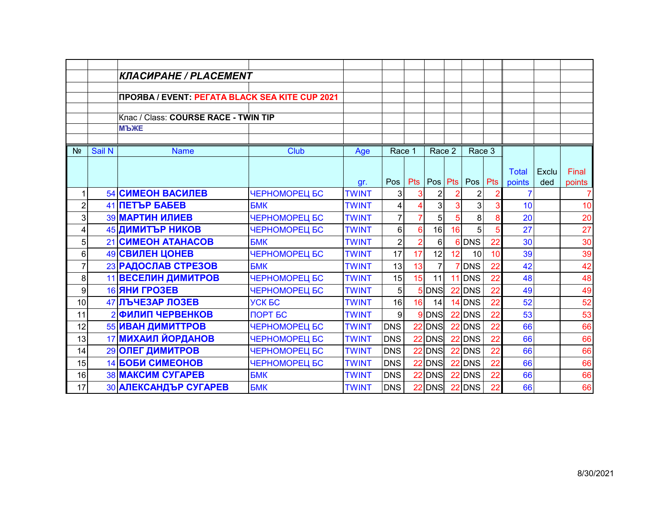|                |        | КЛАСИРАНЕ / PLACEMENT                          |               |                     |                |                |            |    |                |            |                        |       |                          |
|----------------|--------|------------------------------------------------|---------------|---------------------|----------------|----------------|------------|----|----------------|------------|------------------------|-------|--------------------------|
|                |        |                                                |               |                     |                |                |            |    |                |            |                        |       |                          |
|                |        | ПРОЯВА / EVENT: PEГАТА BLACK SEA KITE CUP 2021 |               |                     |                |                |            |    |                |            |                        |       |                          |
|                |        | Клас / Class: COURSE RACE - TWIN TIP           |               |                     |                |                |            |    |                |            |                        |       |                          |
|                |        | <b>МЪЖЕ</b>                                    |               |                     |                |                |            |    |                |            |                        |       |                          |
|                |        |                                                |               |                     |                |                |            |    |                |            |                        |       |                          |
| N <sub>2</sub> | Sail N | <b>Name</b>                                    | Club          | Age                 | Race 1         |                | Race 2     |    | Race 3         |            |                        |       |                          |
|                |        |                                                |               |                     |                |                |            |    |                |            |                        |       |                          |
|                |        |                                                |               |                     | Pos            | <b>Pts</b>     | Pos Pts    |    | Pos            | <b>Pts</b> | <b>Total</b><br>points | Exclu | Final                    |
| $\mathbf{1}$   |        | <b>54 СИМЕОН ВАСИЛЕВ</b>                       | ЧЕРНОМОРЕЦ БС | gr.<br><b>TWINT</b> | 3              | 3              | 2          |    | $\overline{c}$ |            |                        | ded   | points<br>$\overline{7}$ |
| $\overline{2}$ |        | 41 <b>NETЪP БАБЕВ</b>                          | <b>БМК</b>    | <b>TWINT</b>        | 4              |                | 3          | 3  | 3              |            | 10                     |       | 10                       |
| 3              |        | <b>39 МАРТИН ИЛИЕВ</b>                         | ЧЕРНОМОРЕЦ БС | <b>TWINT</b>        | $\overline{7}$ |                | 5          |    | 8              | 8          | 20                     |       | 20                       |
| 4              |        | 45 ДИМИТЪР НИКОВ                               | ЧЕРНОМОРЕЦ БС | <b>TWINT</b>        | $6\phantom{.}$ | 6              | 16         | 16 | 5 <sub>l</sub> |            | 27                     |       | 27                       |
| 5              |        | 21 CUMEOH ATAHACOB                             | <b>БМК</b>    | <b>TWINT</b>        | $\overline{2}$ | $\overline{2}$ | 6          |    | 6 DNS          | 22         | 30                     |       | 30                       |
| 6              |        | 49 СВИЛЕН ЦОНЕВ                                | ЧЕРНОМОРЕЦ БС | <b>TWINT</b>        | 17             | 17             | 12         | 12 | 10             | 10         | 39                     |       | 39                       |
| $\overline{7}$ |        | 23 РАДОСЛАВ СТРЕЗОВ                            | <b>BMK</b>    | <b>TWINT</b>        | 13             | 13             |            |    | <b>DNS</b>     | 22         | 42                     |       | 42                       |
| 8              |        | 11 ВЕСЕЛИН ДИМИТРОВ                            | ЧЕРНОМОРЕЦ БС | <b>TWINT</b>        | 15             | 15             | 11         |    | 11 DNS         | 22         | 48                     |       | 48                       |
| 9              |        | <b>16 ЯНИ ГРОЗЕВ</b>                           | ЧЕРНОМОРЕЦ БС | <b>TWINT</b>        | 5              |                | 5 DNS      | 22 | <b>DNS</b>     | 22         | 49                     |       | 49                       |
| 10             |        | 47 ЛЪЧЕЗАР ЛОЗЕВ                               | <b>YCK BC</b> | <b>TWINT</b>        | 16             | 16             | 14         |    | 14 DNS         | 22         | 52                     |       | 52                       |
| 11             |        | 2 ФИЛИП ЧЕРВЕНКОВ                              | ПОРТ БС       | <b>TWINT</b>        | 9              |                | 9 DNS      |    | 22 DNS         | 22         | 53                     |       | 53                       |
| 12             |        | 55 ИВАН ДИМИТТРОВ                              | ЧЕРНОМОРЕЦ БС | <b>TWINT</b>        | <b>DNS</b>     | 22             | <b>DNS</b> | 22 | <b>DNS</b>     | 22         | 66                     |       | 66                       |
| 13             |        | 17 МИХАИЛ ЙОРДАНОВ                             | ЧЕРНОМОРЕЦ БС | <b>TWINT</b>        | <b>DNS</b>     | 22             | <b>DNS</b> |    | 22 DNS         | 22         | 66                     |       |                          |
| 14             |        | 29 ОЛЕГ ДИМИТРОВ                               | ЧЕРНОМОРЕЦ БС | <b>TWINT</b>        | <b>DNS</b>     | 22             | <b>DNS</b> | 22 | <b>DNS</b>     | 22         | 66                     |       | 66<br>66                 |
| 15             |        | <b>14 БОБИ СИМЕОНОВ</b>                        | ЧЕРНОМОРЕЦ БС | <b>TWINT</b>        | <b>DNS</b>     | 22             | <b>DNS</b> |    | 22 DNS         | 22         | 66                     |       | 66                       |
| 16             |        | <b>38 МАКСИМ СУГАРЕВ</b>                       | <b>BMK</b>    | <b>TWINT</b>        | <b>DNS</b>     | 22             | <b>DNS</b> |    | $22$ DNS       | 22         | 66                     |       | 66                       |
|                |        |                                                |               |                     |                |                |            |    |                |            |                        |       |                          |
| 17             |        | 30 АЛЕКСАНДЪР СУГАРЕВ                          | <b>BMK</b>    | <b>TWINT</b>        | <b>DNS</b>     | 22             | <b>DNS</b> |    | $22$ DNS       | 22         | 66                     |       | 66                       |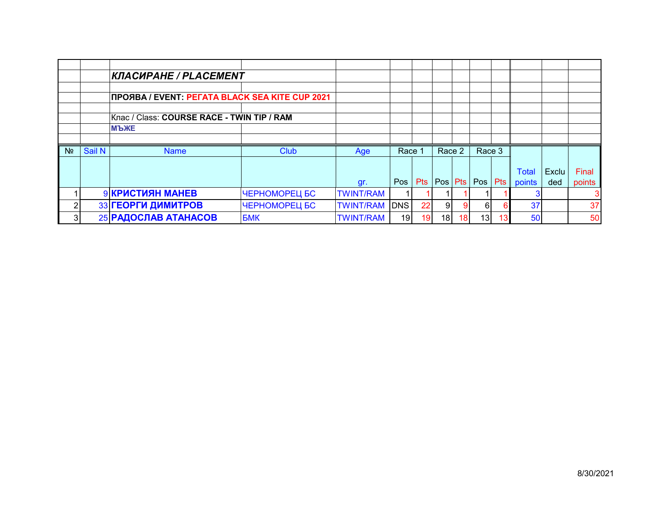|                |        | <b>КЛАСИРАНЕ / PLACEMENT</b>                   |               |                  |            |                 |                |                 |                 |    |              |       |        |
|----------------|--------|------------------------------------------------|---------------|------------------|------------|-----------------|----------------|-----------------|-----------------|----|--------------|-------|--------|
|                |        |                                                |               |                  |            |                 |                |                 |                 |    |              |       |        |
|                |        | ПРОЯВА / EVENT: PEГАТА BLACK SEA KITE CUP 2021 |               |                  |            |                 |                |                 |                 |    |              |       |        |
|                |        |                                                |               |                  |            |                 |                |                 |                 |    |              |       |        |
|                |        | Клас / Class: COURSE RACE - TWIN TIP / RAM     |               |                  |            |                 |                |                 |                 |    |              |       |        |
|                |        | <b>MPXE</b>                                    |               |                  |            |                 |                |                 |                 |    |              |       |        |
|                |        |                                                |               |                  |            |                 |                |                 |                 |    |              |       |        |
| N <sub>2</sub> | Sail N | <b>Name</b>                                    | <b>Club</b>   | Age              | Race       |                 | Race 2         |                 | Race 3          |    |              |       |        |
|                |        |                                                |               |                  |            |                 |                |                 |                 |    |              |       |        |
|                |        |                                                |               |                  |            |                 |                |                 |                 |    | <b>Total</b> | Exclu | Final  |
|                |        |                                                |               | gr.              | Pos        | Pts             |                |                 | Pos Pts Pos Pts |    | points       | ded   | points |
|                |        | 9 КРИСТИЯН МАНЕВ                               | ЧЕРНОМОРЕЦ БС | <b>TWINT/RAM</b> |            |                 |                |                 |                 |    |              |       | 3      |
| 2              |        | 33 ГЕОРГИ ДИМИТРОВ                             | ЧЕРНОМОРЕЦ БС | <b>TWINT/RAM</b> | <b>DNS</b> | 22              | 9 <sub>l</sub> | 9               | 61              |    | 37           |       | 37     |
| 3              |        | 25 РАДОСЛАВ АТАНАСОВ                           | <b>BMK</b>    | <b>TWINT/RAM</b> | 19         | 19 <sup>°</sup> | 18             | 18 <sup>1</sup> | 13 <sub>l</sub> | 13 | 50           |       | 50     |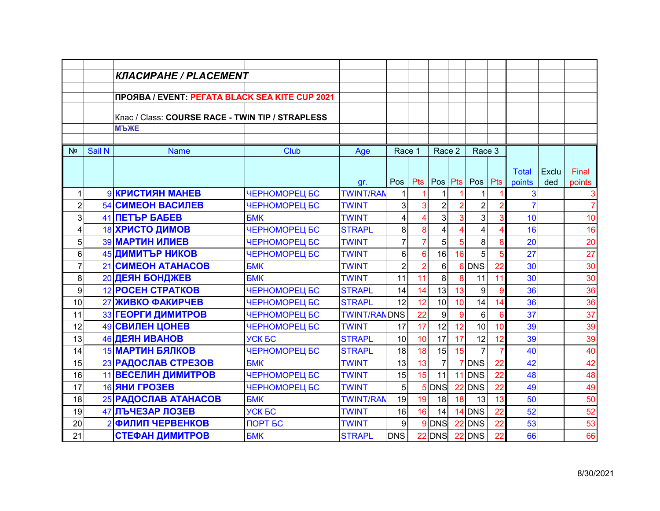|                         |                | КЛАСИРАНЕ / PLACEMENT                            |               |                     |                |                 |                |    |                |                 |                 |       |                     |
|-------------------------|----------------|--------------------------------------------------|---------------|---------------------|----------------|-----------------|----------------|----|----------------|-----------------|-----------------|-------|---------------------|
|                         |                |                                                  |               |                     |                |                 |                |    |                |                 |                 |       |                     |
|                         |                | ПРОЯВА / EVENT: PEГАТА BLACK SEA KITE CUP 2021   |               |                     |                |                 |                |    |                |                 |                 |       |                     |
|                         |                | Клас / Class: COURSE RACE - TWIN TIP / STRAPLESS |               |                     |                |                 |                |    |                |                 |                 |       |                     |
|                         |                | <b>МЪЖЕ</b>                                      |               |                     |                |                 |                |    |                |                 |                 |       |                     |
|                         |                |                                                  |               |                     |                |                 |                |    |                |                 |                 |       |                     |
| N <sub>2</sub>          | Sail N         | <b>Name</b>                                      | Club          | Age                 | Race 1         |                 | Race 2         |    | Race 3         |                 |                 |       |                     |
|                         |                |                                                  |               |                     |                |                 |                |    |                |                 |                 |       |                     |
|                         |                |                                                  |               |                     |                |                 |                |    |                |                 | <b>Total</b>    | Exclu | Final               |
|                         |                |                                                  |               | gr.                 | Pos            | <b>Pts</b>      |                |    | Pos Pts Pos    | Pts             | points          | ded   | points              |
| 1                       |                | 9 КРИСТИЯН МАНЕВ                                 | ЧЕРНОМОРЕЦ БС | <b>TWINT/RAN</b>    | 1              |                 | 1              |    | 1              |                 | 3               |       | 3<br>$\overline{7}$ |
| $\overline{c}$          |                | <b>54 СИМЕОН ВАСИЛЕВ</b>                         | ЧЕРНОМОРЕЦ БС | <b>TWINT</b>        | $\overline{3}$ | 3               | $\overline{2}$ |    | $\overline{2}$ |                 |                 |       |                     |
| 3                       |                | <b>41 NETЪP БАБЕВ</b>                            | <b>BMK</b>    | <b>TWINT</b>        | 4              | 4               | 3              |    | $\overline{3}$ |                 | 10              |       | 10                  |
| $\overline{\mathbf{4}}$ |                | 18 ХРИСТО ДИМОВ                                  | ЧЕРНОМОРЕЦ БС | <b>STRAPL</b>       | 8              | 8               | 4              |    | 4              |                 | 16              |       | 16                  |
| 5                       |                | <b>39 МАРТИН ИЛИЕВ</b>                           | ЧЕРНОМОРЕЦ БС | <b>TWINT</b>        | $\overline{7}$ | $\overline{7}$  | 5              | 5  | 8 <sup>1</sup> | 8               | 20              |       | 20                  |
| 6                       |                | 45 ДИМИТЪР НИКОВ                                 | ЧЕРНОМОРЕЦ БС | <b>TWINT</b>        | 6              | $6\phantom{a}$  | 16             | 16 | 5 <sup>1</sup> |                 | $\overline{27}$ |       | $\overline{27}$     |
| $\overline{7}$          |                | 21 CUMEOH ATAHACOB                               | <b>БМК</b>    | <b>TWINT</b>        | $\overline{2}$ | $\overline{2}$  | 6              |    | 6 DNS          | 22              | 30              |       | 30                  |
| 8                       |                | 20 ДЕЯН БОНДЖЕВ                                  | <b>БМК</b>    | <b>TWINT</b>        | 11             | 11              | 8              | 8  | 11             | 11              | 30              |       | 30                  |
| 9                       |                | <b>12 POCEH CTPATKOB</b>                         | ЧЕРНОМОРЕЦ БС | <b>STRAPL</b>       | 14             | 14              | 13             | 13 | 9              | 9               | 36              |       | 36                  |
| 10                      |                | 27 ЖИВКО ФАКИРЧЕВ                                | ЧЕРНОМОРЕЦ БС | <b>STRAPL</b>       | 12             | 12              | 10             | 10 | 14             | 14              | 36              |       | 36                  |
| 11                      |                | 33 ГЕОРГИ ДИМИТРОВ                               | ЧЕРНОМОРЕЦ БС | <b>TWINT/RANDNS</b> |                | $\overline{22}$ | 9              | 9  | $6 \mid$       | 6               | 37              |       | 37                  |
| 12                      |                | 49 СВИЛЕН ЦОНЕВ                                  | ЧЕРНОМОРЕЦ БС | <b>TWINT</b>        | 17             | 17              | 12             | 12 | 10             | 10 <sup>°</sup> | 39              |       | 39                  |
| 13                      |                | 46 ДЕЯН ИВАНОВ                                   | <b>YCK EC</b> | <b>STRAPL</b>       | 10             | 10              | 17             | 17 | 12             | 12              | 39              |       | 39                  |
| 14                      |                | <b>15 МАРТИН БЯЛКОВ</b>                          | ЧЕРНОМОРЕЦ БС | <b>STRAPL</b>       | 18             | 18              | 15             | 15 | $\overline{7}$ |                 | 40              |       | 40                  |
| 15                      |                | 23 РАДОСЛАВ СТРЕЗОВ                              | <b>БМК</b>    | <b>TWINT</b>        | 13             | 13              | $\overline{7}$ |    | <b>DNS</b>     | 22              | 42              |       | 42                  |
| 16                      |                | 11 ВЕСЕЛИН ДИМИТРОВ                              | ЧЕРНОМОРЕЦ БС | <b>TWINT</b>        | 15             | 15              | 11             |    | 11 DNS         | 22              | 48              |       | 48                  |
| 17                      |                | <b>16 ЯНИ ГРОЗЕВ</b>                             | ЧЕРНОМОРЕЦ БС | <b>TWINT</b>        | 5              | 5               | <b>DNS</b>     | 22 | <b>DNS</b>     | 22              | 49              |       | 49                  |
| 18                      |                | 25 РАДОСЛАВ АТАНАСОВ                             | <b>BMK</b>    | <b>TWINT/RAN</b>    | 19             | 19              | 18             | 18 | 13             | 13              | 50              |       | 50                  |
| 19                      |                | 47 ЛЪЧЕЗАР ЛОЗЕВ                                 | <b>YCK BC</b> | <b>TWINT</b>        | 16             | 16              | 14             |    | $14$ DNS       | 22              | 52              |       | 52                  |
| 20                      | $\overline{2}$ | <b>ФИЛИП ЧЕРВЕНКОВ</b>                           | ПОРТ БС       | <b>TWINT</b>        | 9              | 9               | <b>DNS</b>     | 22 | <b>DNS</b>     | 22              | 53              |       | 53                  |
| 21                      |                | <b>СТЕФАН ДИМИТРОВ</b>                           | <b>BMK</b>    | <b>STRAPL</b>       | <b>DNS</b>     | 22              | <b>DNS</b>     |    | $22$ DNS       | 22              | 66              |       | 66                  |